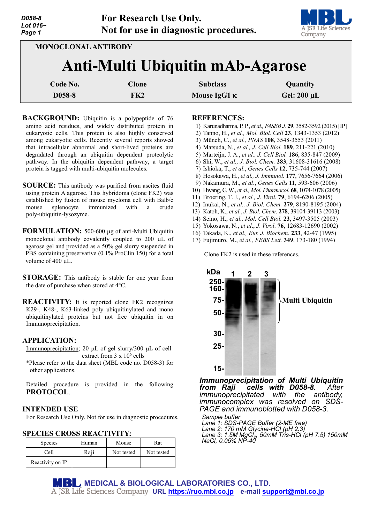

**MONOCLONAL ANTIBODY**

# **Anti-Multi Ubiquitin mAb-Agarose**

| Code No. | Clone | <b>Subclass</b>     | Quantity         |
|----------|-------|---------------------|------------------|
| D058-8   | FK2   | Mouse IgG1 $\kappa$ | Gel: $200 \mu L$ |

- **BACKGROUND:** Ubiquitin is a polypeptide of 76 amino acid residues, and widely distributed protein in eukaryotic cells. This protein is also highly conserved among eukaryotic cells. Recently several reports showed that intracellular abnormal and short-lived proteins are degradated through an ubiquitin dependent proteolytic pathway. In the ubiquitin dependent pathway, a target protein is tagged with multi-ubiquitin molecules.
- **SOURCE:** This antibody was purified from ascites fluid using protein A agarose. This hybridoma (clone FK2) was established by fusion of mouse myeloma cell with Balb/c mouse splenocyte immunized with a crude poly-ubiquitin-lysozyme.
- **FORMULATION:** 500-600 µg of anti-Multi Ubiquitin monoclonal antibody covalently coupled to 200 µL of agarose gel and provided as a 50% gel slurry suspended in PBS containing preservative (0.1% ProClin 150) for a total volume of 400 µL.
- **STORAGE:** This antibody is stable for one year from the date of purchase when stored at 4°C.
- **REACTIVITY:** It is reported clone FK2 recognizes K29-, K48-, K63-linked poly ubiquitinylated and mono ubiquitinylated proteins but not free ubiquitin in on Immunoprecipitation.

#### **APPLICATION:**

- Immunoprecipitation; 20 µL of gel slurry/300 µL of cell extract from  $3 \times 10^6$  cells
- \*Please refer to the data sheet (MBL code no. D058-3) for other applications.

Detailed procedure is provided in the following **PROTOCOL**.

## **INTENDED USE**

For Research Use Only. Not for use in diagnostic procedures.

## **SPECIES CROSS REACTIVITY:**

| <b>Species</b>   | Human | Mouse      | Rat        |
|------------------|-------|------------|------------|
| Cell             | Raji  | Not tested | Not tested |
| Reactivity on IP |       |            |            |

#### **REFERENCES:**

- 1) Karunadharma, P. P., *et al., FASEB J.* **29**, 3582-3592 (2015) [IP]
- 2) Tanno, H., *et al., Mol. Biol. Cell* **23**, 1343-1353 (2012)
- 3) Münch, C., *et al., PNAS* **108**, 3548-3553 (2011)
- 4) Matsuda, N., *et al., J. Cell Biol.* **189**, 211-221 (2010)
- 5) Marteijn, J. A., *et al., J. Cell Biol.* **186**, 835-847 (2009)
- 6) Shi, W., *et al., J. Biol. Chem.* **283**, 31608-31616 (2008)
- 7) Ishioka, T., *et al*., *Genes Cells* **12**, 735-744 (2007)
- 8) Hosokawa, H., *et al., J. Immunol.* **177**, 7656-7664 (2006)
- 9) Nakamura, M., *et al*., *Genes Cells* **11**, 593-606 (2006)
- 10) Hwang, G. W., *et al., Mol. Pharmacol.* **68**, 1074-1078 (2005)
- 11) Broering, T. J., *et al., J. Virol.* **79**, 6194-6206 (2005)
- 12) Inukai, N., *et al., J. Biol. Chem.* **279**, 8190-8195 (2004)
- 13) Katoh, K., *et al*., *J*. *Biol*. *Chem*. **278**, 39104-39113 (2003)
- 14) Seino, H., *et al., Mol. Cell Biol.* **23**, 3497-3505 (2003)
- 15) Yokosawa, N., *et al*., *J*. *Virol*. **76**, 12683-12690 (2002)
- 16) Takada, K., *et al., Eur. J. Biochem.* **233**, 42-47 (1995)
- 17) Fujimuro, M., *et al., FEBS Lett.* **349**, 173-180 (1994)

Clone FK2 is used in these references.



*Immunoprecipitation of Multi Ubiquitin from Raji cells with D058-8. After immunoprecipitated with the antibody, immunocomplex was resolved on SDS- PAGE and immunoblotted with D058-3.*

*Sample buffer Lane 1: SDS-PAGE Buffer (2-ME free) Lane 2: 170 mM Glycine-HCl (pH 2.3) Lane 3: 1.5M MgCl2, 50mM Tris-HCl (pH 7.5) 150mM NaCl, 0.05% NP-40*